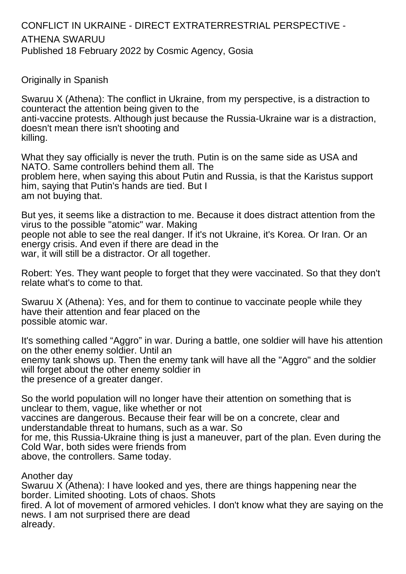## CONFLICT IN UKRAINE - DIRECT EXTRATERRESTRIAL PERSPECTIVE - ATHENA SWARUU Published 18 February 2022 by Cosmic Agency, Gosia

Originally in Spanish

Swaruu X (Athena): The conflict in Ukraine, from my perspective, is a distraction to counteract the attention being given to the anti-vaccine protests. Although just because the Russia-Ukraine war is a distraction, doesn't mean there isn't shooting and killing.

What they say officially is never the truth. Putin is on the same side as USA and NATO. Same controllers behind them all. The problem here, when saying this about Putin and Russia, is that the Karistus support him, saying that Putin's hands are tied. But I am not buying that.

But yes, it seems like a distraction to me. Because it does distract attention from the virus to the possible "atomic" war. Making people not able to see the real danger. If it's not Ukraine, it's Korea. Or Iran. Or an energy crisis. And even if there are dead in the war, it will still be a distractor. Or all together.

Robert: Yes. They want people to forget that they were vaccinated. So that they don't relate what's to come to that.

Swaruu X (Athena): Yes, and for them to continue to vaccinate people while they have their attention and fear placed on the possible atomic war.

It's something called "Aggro" in war. During a battle, one soldier will have his attention on the other enemy soldier. Until an enemy tank shows up. Then the enemy tank will have all the "Aggro" and the soldier will forget about the other enemy soldier in the presence of a greater danger.

So the world population will no longer have their attention on something that is unclear to them, vague, like whether or not vaccines are dangerous. Because their fear will be on a concrete, clear and understandable threat to humans, such as a war. So for me, this Russia-Ukraine thing is just a maneuver, part of the plan. Even during the Cold War, both sides were friends from above, the controllers. Same today.

Another day

Swaruu X (Athena): I have looked and yes, there are things happening near the border. Limited shooting. Lots of chaos. Shots fired. A lot of movement of armored vehicles. I don't know what they are saying on the news. I am not surprised there are dead already.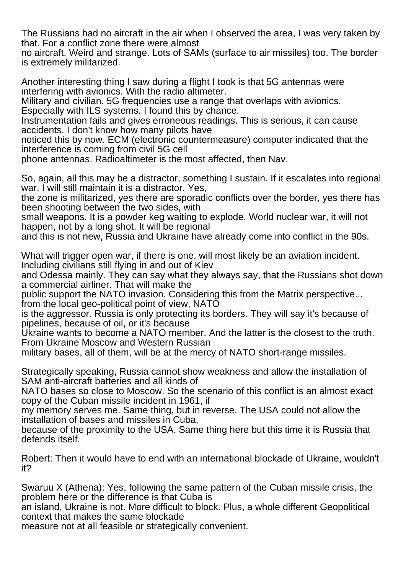The Russians had no aircraft in the air when I observed the area, I was very taken by that. For a conflict zone there were almost

no aircraft. Weird and strange. Lots of SAMs (surface to air missiles) too. The border is extremely militarized.

Another interesting thing I saw during a flight I took is that 5G antennas were interfering with avionics. With the radio altimeter.

Military and civilian. 5G frequencies use a range that overlaps with avionics. Especially with ILS systems. I found this by chance.

Instrumentation fails and gives erroneous readings. This is serious, it can cause accidents. I don't know how many pilots have

noticed this by now. ECM (electronic countermeasure) computer indicated that the interference is coming from civil 5G cell

phone antennas. Radioaltimeter is the most affected, then Nav.

So, again, all this may be a distractor, something I sustain. If it escalates into regional war, I will still maintain it is a distractor. Yes,

the zone is militarized, yes there are sporadic conflicts over the border, yes there has been shooting between the two sides, with

small weapons. It is a powder keg waiting to explode. World nuclear war, it will not happen, not by a long shot. It will be regional

and this is not new, Russia and Ukraine have already come into conflict in the 90s.

What will trigger open war, if there is one, will most likely be an aviation incident. Including civilians still flying in and out of Kiev

and Odessa mainly. They can say what they always say, that the Russians shot down a commercial airliner. That will make the

public support the NATO invasion. Considering this from the Matrix perspective... from the local geo-political point of view, NATO

is the aggressor. Russia is only protecting its borders. They will say it's because of pipelines, because of oil, or it's because

Ukraine wants to become a NATO member. And the latter is the closest to the truth. From Ukraine Moscow and Western Russian

military bases, all of them, will be at the mercy of NATO short-range missiles.

Strategically speaking, Russia cannot show weakness and allow the installation of SAM anti-aircraft batteries and all kinds of

NATO bases so close to Moscow. So the scenario of this conflict is an almost exact copy of the Cuban missile incident in 1961, if

my memory serves me. Same thing, but in reverse. The USA could not allow the installation of bases and missiles in Cuba,

because of the proximity to the USA. Same thing here but this time it is Russia that defends itself.

Robert: Then it would have to end with an international blockade of Ukraine, wouldn't it?

Swaruu X (Athena): Yes, following the same pattern of the Cuban missile crisis, the problem here or the difference is that Cuba is an island, Ukraine is not. More difficult to block. Plus, a whole different Geopolitical

context that makes the same blockade

measure not at all feasible or strategically convenient.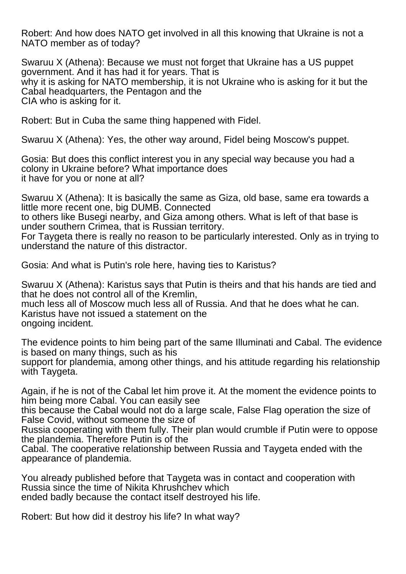Robert: And how does NATO get involved in all this knowing that Ukraine is not a NATO member as of today?

Swaruu X (Athena): Because we must not forget that Ukraine has a US puppet government. And it has had it for years. That is why it is asking for NATO membership, it is not Ukraine who is asking for it but the Cabal headquarters, the Pentagon and the CIA who is asking for it.

Robert: But in Cuba the same thing happened with Fidel.

Swaruu X (Athena): Yes, the other way around, Fidel being Moscow's puppet.

Gosia: But does this conflict interest you in any special way because you had a colony in Ukraine before? What importance does it have for you or none at all?

Swaruu X (Athena): It is basically the same as Giza, old base, same era towards a little more recent one, big DUMB. Connected to others like Busegi nearby, and Giza among others. What is left of that base is under southern Crimea, that is Russian territory. For Taygeta there is really no reason to be particularly interested. Only as in trying to understand the nature of this distractor.

Gosia: And what is Putin's role here, having ties to Karistus?

Swaruu X (Athena): Karistus says that Putin is theirs and that his hands are tied and that he does not control all of the Kremlin, much less all of Moscow much less all of Russia. And that he does what he can. Karistus have not issued a statement on the ongoing incident.

The evidence points to him being part of the same Illuminati and Cabal. The evidence is based on many things, such as his support for plandemia, among other things, and his attitude regarding his relationship with Taygeta.

Again, if he is not of the Cabal let him prove it. At the moment the evidence points to him being more Cabal. You can easily see this because the Cabal would not do a large scale, False Flag operation the size of

False Covid, without someone the size of

Russia cooperating with them fully. Their plan would crumble if Putin were to oppose the plandemia. Therefore Putin is of the

Cabal. The cooperative relationship between Russia and Taygeta ended with the appearance of plandemia.

You already published before that Taygeta was in contact and cooperation with Russia since the time of Nikita Khrushchev which ended badly because the contact itself destroyed his life.

Robert: But how did it destroy his life? In what way?